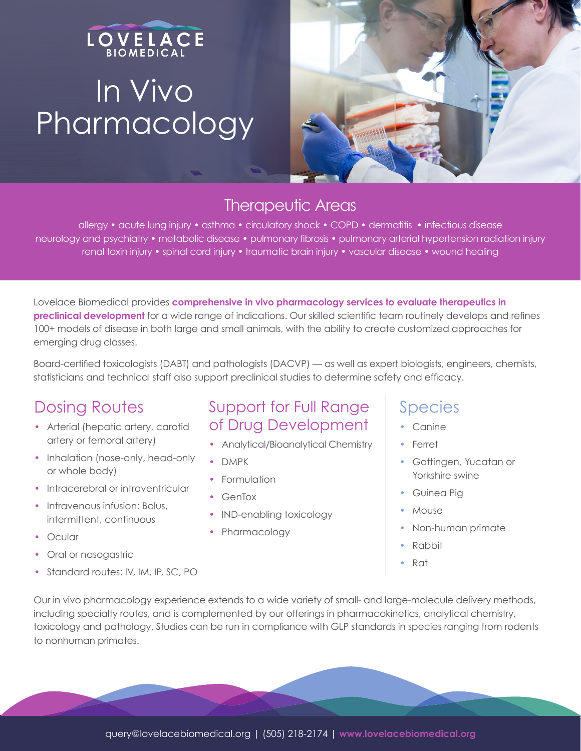## LOVELACE In Vivo Pharmacology



#### Therapeutic Areas

allergy • acute lung injury • asthma • circulatory shock • COPD • dermatitis • infectious disease neurology and psychiatry • metabolic disease • pulmonary fibrosis • pulmonary arterial hypertension radiation injury renal toxin injury • spinal cord injury • traumatic brain injury • vascular disease • wound healing

Lovelace Biomedical provides **comprehensive in vivo pharmacology services to evaluate therapeutics in preclinical development** for a wide range of indications. Our skilled scientific team routinely develops and refines 100+ models of disease in both large and small animals, with the ability to create customized approaches for emerging drug classes.

Board-certified toxicologists (DABT) and pathologists (DACVP) — as well as expert biologists, engineers, chemists, statisticians and technical staff also support preclinical studies to determine safety and efficacy.

### Dosing Routes

- Arterial (hepatic artery, carotid artery or femoral artery)
- Inhalation (nose-only, head-only or whole body)
- Intracerebral or intraventricular
- Intravenous infusion: Bolus, intermittent, continuous
- Ocular
- Oral or nasogastric
- Standard routes: IV, IM, IP, SC, PO

#### Support for Full Range of Drug Development

- Analytical/Bioanalytical Chemistry
- DMPK
- Formulation
- GenTox
- IND-enabling toxicology
- Pharmacology

#### Species

- Canine
- Ferret
- Gottingen, Yucatan or Yorkshire swine
- Guinea Pig
- Mouse
- Non-human primate
- Rabbit
- Rat

Our in vivo pharmacology experience extends to a wide variety of small- and large-molecule delivery methods, including specialty routes, and is complemented by our offerings in pharmacokinetics, analytical chemistry, toxicology and pathology. Studies can be run in compliance with GLP standards in species ranging from rodents to nonhuman primates.